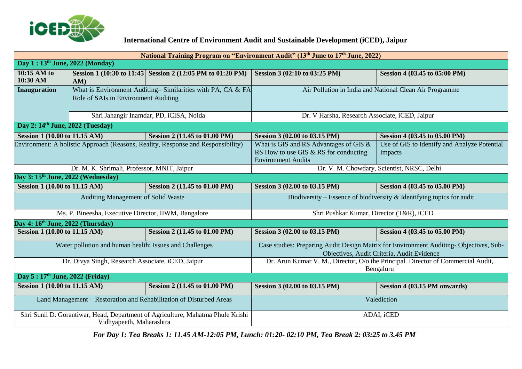

## **International Centre of Environment Audit and Sustainable Development (iCED), Jaipur**

| National Training Program on "Environment Audit" (13 <sup>th</sup> June to 17 <sup>th</sup> June, 2022)     |                                                                                                    |                                                             |                                                                                                                                     |                                                         |
|-------------------------------------------------------------------------------------------------------------|----------------------------------------------------------------------------------------------------|-------------------------------------------------------------|-------------------------------------------------------------------------------------------------------------------------------------|---------------------------------------------------------|
| Day 1: 13th June, 2022 (Monday)                                                                             |                                                                                                    |                                                             |                                                                                                                                     |                                                         |
| 10:15 AM to<br>10:30 AM                                                                                     | AM)                                                                                                | Session 1 (10:30 to 11:45) Session 2 (12:05 PM to 01:20 PM) | Session 3 (02:10 to 03:25 PM)                                                                                                       | Session 4 (03.45 to 05:00 PM)                           |
| <b>Inauguration</b>                                                                                         | What is Environment Auditing–Similarities with PA, CA & FA<br>Role of SAIs in Environment Auditing |                                                             | Air Pollution in India and National Clean Air Programme                                                                             |                                                         |
|                                                                                                             | Shri Jahangir Inamdar, PD, iCISA, Noida                                                            |                                                             | Dr. V Harsha, Research Associate, iCED, Jaipur                                                                                      |                                                         |
| Day 2: 14 <sup>th</sup> June, 2022 (Tuesday)                                                                |                                                                                                    |                                                             |                                                                                                                                     |                                                         |
| Session 1 (10.00 to 11.15 AM)                                                                               |                                                                                                    | Session 2 (11.45 to 01.00 PM)                               | Session 3 (02.00 to 03.15 PM)                                                                                                       | Session 4 (03.45 to 05.00 PM)                           |
| Environment: A holistic Approach (Reasons, Reality, Response and Responsibility)                            |                                                                                                    |                                                             | What is GIS and RS Advantages of GIS &<br>RS How to use GIS & RS for conducting<br><b>Environment Audits</b>                        | Use of GIS to Identify and Analyze Potential<br>Impacts |
| Dr. M. K. Shrimali, Professor, MNIT, Jaipur                                                                 |                                                                                                    |                                                             | Dr. V. M. Chowdary, Scientist, NRSC, Delhi                                                                                          |                                                         |
| Day 3: 15 <sup>th</sup> June, 2022 (Wednesday)                                                              |                                                                                                    |                                                             |                                                                                                                                     |                                                         |
| <b>Session 1 (10.00 to 11.15 AM)</b>                                                                        |                                                                                                    | Session 2 (11.45 to 01.00 PM)                               | Session 3 (02.00 to 03.15 PM)                                                                                                       | Session 4 (03.45 to 05.00 PM)                           |
| Auditing Management of Solid Waste                                                                          |                                                                                                    |                                                             | Biodiversity – Essence of biodiversity $\&$ Identifying topics for audit                                                            |                                                         |
| Ms. P. Bineesha, Executive Director, IIWM, Bangalore                                                        |                                                                                                    |                                                             | Shri Pushkar Kumar, Director (T&R), iCED                                                                                            |                                                         |
| Day 4: $16th$ June, 2022 (Thursday)                                                                         |                                                                                                    |                                                             |                                                                                                                                     |                                                         |
| Session 1 (10.00 to 11.15 AM)                                                                               |                                                                                                    | Session 2 (11.45 to 01.00 PM)                               | Session 3 (02.00 to 03.15 PM)                                                                                                       | Session 4 (03.45 to 05.00 PM)                           |
| Water pollution and human health: Issues and Challenges                                                     |                                                                                                    |                                                             | Case studies: Preparing Audit Design Matrix for Environment Auditing-Objectives, Sub-<br>Objectives, Audit Criteria, Audit Evidence |                                                         |
| Dr. Divya Singh, Research Associate, iCED, Jaipur                                                           |                                                                                                    |                                                             | Dr. Arun Kumar V. M., Director, O/o the Principal Director of Commercial Audit,<br>Bengaluru                                        |                                                         |
| Day 5: 17th June, 2022 (Friday)                                                                             |                                                                                                    |                                                             |                                                                                                                                     |                                                         |
| <b>Session 1 (10.00 to 11.15 AM)</b>                                                                        |                                                                                                    | Session 2 (11.45 to 01.00 PM)                               | Session 3 (02.00 to 03.15 PM)                                                                                                       | Session 4 (03.15 PM onwards)                            |
| Land Management - Restoration and Rehabilitation of Disturbed Areas                                         |                                                                                                    |                                                             | Valediction                                                                                                                         |                                                         |
| Shri Sunil D. Gorantiwar, Head, Department of Agriculture, Mahatma Phule Krishi<br>Vidhyapeeth, Maharashtra |                                                                                                    |                                                             | ADAI, iCED                                                                                                                          |                                                         |

 *For Day 1: Tea Breaks 1: 11.45 AM-12:05 PM, Lunch: 01:20- 02:10 PM, Tea Break 2: 03:25 to 3.45 PM*